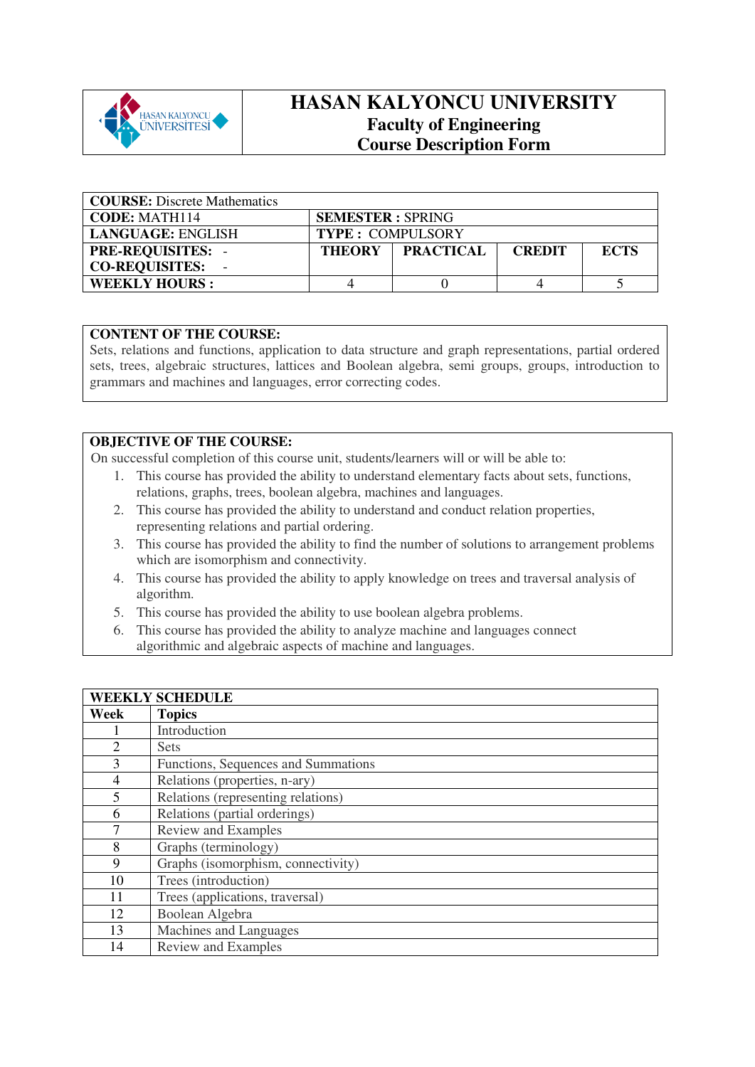

## **HASAN KALYONCU UNIVERSITY Faculty of Engineering Course Description Form**

| <b>COURSE:</b> Discrete Mathematics |                         |                  |               |             |
|-------------------------------------|-------------------------|------------------|---------------|-------------|
| <b>CODE: MATH114</b>                | <b>SEMESTER: SPRING</b> |                  |               |             |
| LANGUAGE: ENGLISH                   | <b>TYPE: COMPULSORY</b> |                  |               |             |
| <b>PRE-REQUISITES: -</b>            | <b>THEORY</b>           | <b>FRACTICAL</b> | <b>CREDIT</b> | <b>ECTS</b> |
| <b>CO-REQUISITES:</b>               |                         |                  |               |             |
| <b>WEEKLY HOURS:</b>                |                         |                  |               |             |

## **CONTENT OF THE COURSE:**

Sets, relations and functions, application to data structure and graph representations, partial ordered sets, trees, algebraic structures, lattices and Boolean algebra, semi groups, groups, introduction to grammars and machines and languages, error correcting codes.

## **OBJECTIVE OF THE COURSE:**

On successful completion of this course unit, students/learners will or will be able to:

- 1. This course has provided the ability to understand elementary facts about sets, functions, relations, graphs, trees, boolean algebra, machines and languages.
- 2. This course has provided the ability to understand and conduct relation properties, representing relations and partial ordering.
- 3. This course has provided the ability to find the number of solutions to arrangement problems which are isomorphism and connectivity.
- 4. This course has provided the ability to apply knowledge on trees and traversal analysis of algorithm.
- 5. This course has provided the ability to use boolean algebra problems.
- 6. This course has provided the ability to analyze machine and languages connect algorithmic and algebraic aspects of machine and languages.

|                | <b>WEEKLY SCHEDULE</b>              |
|----------------|-------------------------------------|
| Week           | <b>Topics</b>                       |
|                | Introduction                        |
| $\overline{2}$ | <b>Sets</b>                         |
| 3              | Functions, Sequences and Summations |
| $\overline{4}$ | Relations (properties, n-ary)       |
| 5              | Relations (representing relations)  |
| 6              | Relations (partial orderings)       |
| 7              | Review and Examples                 |
| 8              | Graphs (terminology)                |
| 9              | Graphs (isomorphism, connectivity)  |
| 10             | Trees (introduction)                |
| 11             | Trees (applications, traversal)     |
| 12             | Boolean Algebra                     |
| 13             | Machines and Languages              |
| 14             | Review and Examples                 |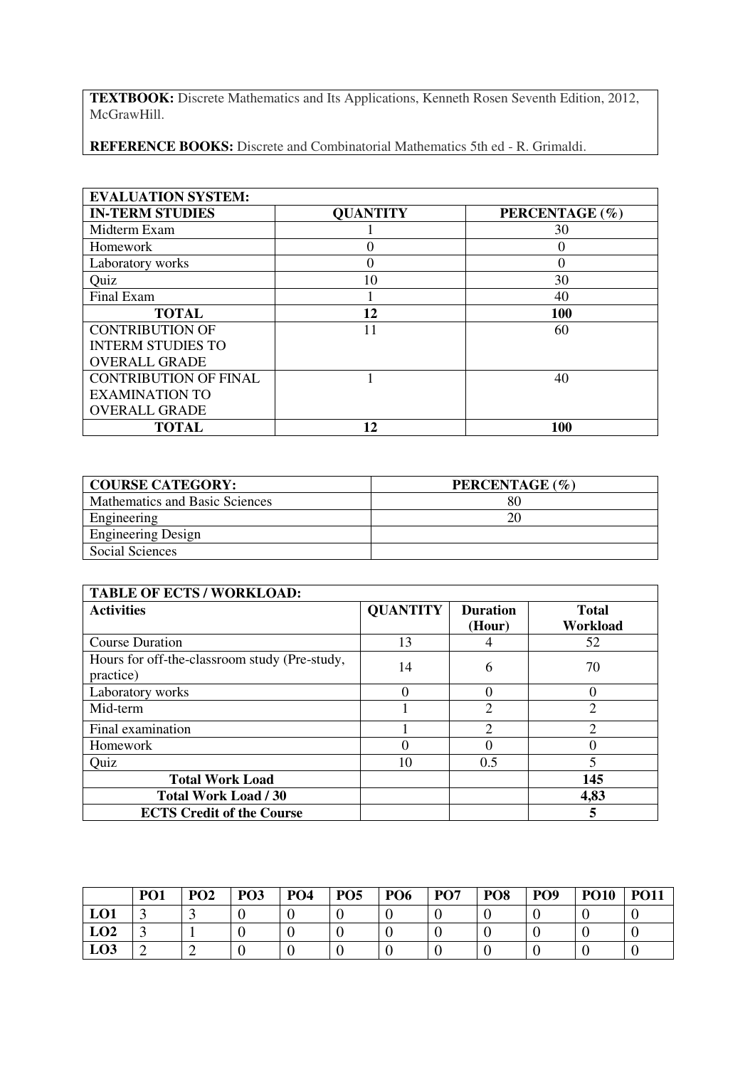**TEXTBOOK:** Discrete Mathematics and Its Applications, Kenneth Rosen Seventh Edition, 2012, McGrawHill.

**REFERENCE BOOKS:** Discrete and Combinatorial Mathematics 5th ed - R. Grimaldi.

| <b>EVALUATION SYSTEM:</b>    |                 |                |
|------------------------------|-----------------|----------------|
| <b>IN-TERM STUDIES</b>       | <b>QUANTITY</b> | PERCENTAGE (%) |
| Midterm Exam                 |                 | 30             |
| Homework                     |                 | 0              |
| Laboratory works             |                 | $\Omega$       |
| Quiz                         | 10              | 30             |
| Final Exam                   |                 | 40             |
| <b>TOTAL</b>                 | 12              | 100            |
| <b>CONTRIBUTION OF</b>       | 11              | 60             |
| <b>INTERM STUDIES TO</b>     |                 |                |
| <b>OVERALL GRADE</b>         |                 |                |
| <b>CONTRIBUTION OF FINAL</b> |                 | 40             |
| <b>EXAMINATION TO</b>        |                 |                |
| <b>OVERALL GRADE</b>         |                 |                |
| <b>TOTAL</b>                 | 12              | 100            |

| <b>COURSE CATEGORY:</b>        | PERCENTAGE (%) |
|--------------------------------|----------------|
| Mathematics and Basic Sciences | 80             |
| Engineering                    | 20             |
| <b>Engineering Design</b>      |                |
| Social Sciences                |                |

| <b>TABLE OF ECTS / WORKLOAD:</b>                           |                 |                           |                          |
|------------------------------------------------------------|-----------------|---------------------------|--------------------------|
| <b>Activities</b>                                          | <b>QUANTITY</b> | <b>Duration</b><br>(Hour) | <b>Total</b><br>Workload |
| <b>Course Duration</b>                                     | 13              |                           | 52                       |
| Hours for off-the-classroom study (Pre-study,<br>practice) | 14              | 6                         | 70                       |
| Laboratory works                                           | $\Omega$        |                           | 0                        |
| Mid-term                                                   |                 | $\overline{2}$            | $\overline{2}$           |
| Final examination                                          |                 | $\mathfrak{D}$            | $\mathfrak{D}$           |
| Homework                                                   |                 |                           | 0                        |
| Quiz                                                       | 10              | 0.5                       | 5                        |
| <b>Total Work Load</b>                                     |                 |                           | 145                      |
| <b>Total Work Load / 30</b>                                |                 |                           | 4,83                     |
| <b>ECTS Credit of the Course</b>                           |                 |                           | 5                        |

|                 | PO <sub>1</sub> | PO <sub>2</sub> | PO <sub>3</sub> | PO <sub>4</sub> | PO <sub>5</sub> | PO <sub>6</sub> | <b>PO7</b> | PO <sub>8</sub> | PO <sub>9</sub> | <b>PO10</b> | <b>PO11</b> |
|-----------------|-----------------|-----------------|-----------------|-----------------|-----------------|-----------------|------------|-----------------|-----------------|-------------|-------------|
| LO1             |                 |                 |                 |                 |                 |                 |            |                 |                 |             |             |
| LO2             |                 |                 |                 |                 |                 |                 |            |                 |                 |             |             |
| LO <sub>3</sub> |                 |                 |                 |                 |                 |                 |            |                 |                 |             |             |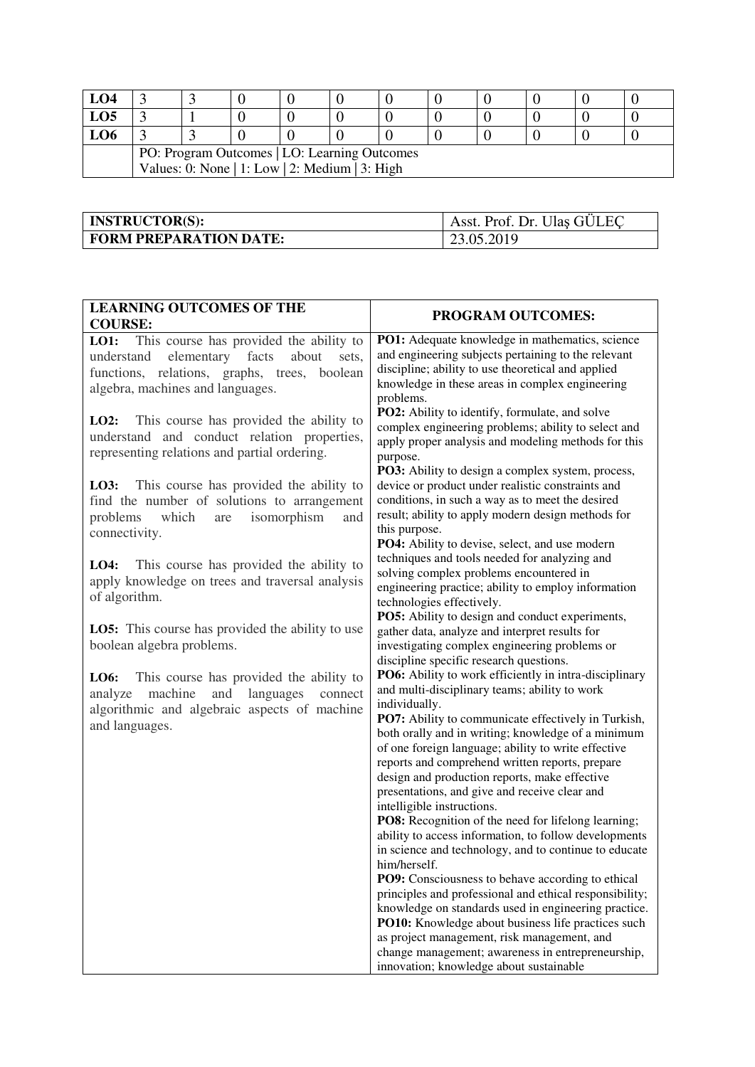| LO4                                            |  |  |  |  |  |  |  |  |  |
|------------------------------------------------|--|--|--|--|--|--|--|--|--|
| LO5                                            |  |  |  |  |  |  |  |  |  |
| LO6                                            |  |  |  |  |  |  |  |  |  |
| PO: Program Outcomes   LO: Learning Outcomes   |  |  |  |  |  |  |  |  |  |
| Values: 0: None   1: Low   2: Medium   3: High |  |  |  |  |  |  |  |  |  |

| <b>INSTRUCTOR(S):</b>         | Asst. Prof. Dr. Ulas GÜLEC |
|-------------------------------|----------------------------|
| <b>FORM PREPARATION DATE:</b> | 23.05.2019                 |

| <b>LEARNING OUTCOMES OF THE</b><br><b>COURSE:</b>                                                                                                                                           | <b>PROGRAM OUTCOMES:</b>                                                                                                                                                                                                                                                                                                                                                                                                                                                                                                                                                                                                                                                                                                                                                                                                                                                                                                                                                                                                                              |
|---------------------------------------------------------------------------------------------------------------------------------------------------------------------------------------------|-------------------------------------------------------------------------------------------------------------------------------------------------------------------------------------------------------------------------------------------------------------------------------------------------------------------------------------------------------------------------------------------------------------------------------------------------------------------------------------------------------------------------------------------------------------------------------------------------------------------------------------------------------------------------------------------------------------------------------------------------------------------------------------------------------------------------------------------------------------------------------------------------------------------------------------------------------------------------------------------------------------------------------------------------------|
| <b>LO1:</b> This course has provided the ability to<br>elementary facts<br>understand<br>about<br>sets,<br>functions, relations, graphs, trees, boolean<br>algebra, machines and languages. | PO1: Adequate knowledge in mathematics, science<br>and engineering subjects pertaining to the relevant<br>discipline; ability to use theoretical and applied<br>knowledge in these areas in complex engineering<br>problems.                                                                                                                                                                                                                                                                                                                                                                                                                                                                                                                                                                                                                                                                                                                                                                                                                          |
| This course has provided the ability to<br>LO2:<br>understand and conduct relation properties,<br>representing relations and partial ordering.                                              | PO2: Ability to identify, formulate, and solve<br>complex engineering problems; ability to select and<br>apply proper analysis and modeling methods for this<br>purpose.<br>PO3: Ability to design a complex system, process,                                                                                                                                                                                                                                                                                                                                                                                                                                                                                                                                                                                                                                                                                                                                                                                                                         |
| LO3:<br>This course has provided the ability to<br>find the number of solutions to arrangement<br>isomorphism<br>problems<br>which<br>are<br>and<br>connectivity.                           | device or product under realistic constraints and<br>conditions, in such a way as to meet the desired<br>result; ability to apply modern design methods for<br>this purpose.<br>PO4: Ability to devise, select, and use modern                                                                                                                                                                                                                                                                                                                                                                                                                                                                                                                                                                                                                                                                                                                                                                                                                        |
| This course has provided the ability to<br>LO4:<br>apply knowledge on trees and traversal analysis<br>of algorithm.                                                                         | techniques and tools needed for analyzing and<br>solving complex problems encountered in<br>engineering practice; ability to employ information<br>technologies effectively.<br>PO5: Ability to design and conduct experiments,                                                                                                                                                                                                                                                                                                                                                                                                                                                                                                                                                                                                                                                                                                                                                                                                                       |
| <b>LO5:</b> This course has provided the ability to use<br>boolean algebra problems.                                                                                                        | gather data, analyze and interpret results for<br>investigating complex engineering problems or<br>discipline specific research questions.                                                                                                                                                                                                                                                                                                                                                                                                                                                                                                                                                                                                                                                                                                                                                                                                                                                                                                            |
| This course has provided the ability to<br>LO6:<br>languages<br>machine<br>and<br>analyze<br>connect<br>algorithmic and algebraic aspects of machine<br>and languages.                      | PO6: Ability to work efficiently in intra-disciplinary<br>and multi-disciplinary teams; ability to work<br>individually.<br>PO7: Ability to communicate effectively in Turkish,<br>both orally and in writing; knowledge of a minimum<br>of one foreign language; ability to write effective<br>reports and comprehend written reports, prepare<br>design and production reports, make effective<br>presentations, and give and receive clear and<br>intelligible instructions.<br>PO8: Recognition of the need for lifelong learning;<br>ability to access information, to follow developments<br>in science and technology, and to continue to educate<br>him/herself.<br>PO9: Consciousness to behave according to ethical<br>principles and professional and ethical responsibility;<br>knowledge on standards used in engineering practice.<br>PO10: Knowledge about business life practices such<br>as project management, risk management, and<br>change management; awareness in entrepreneurship,<br>innovation; knowledge about sustainable |